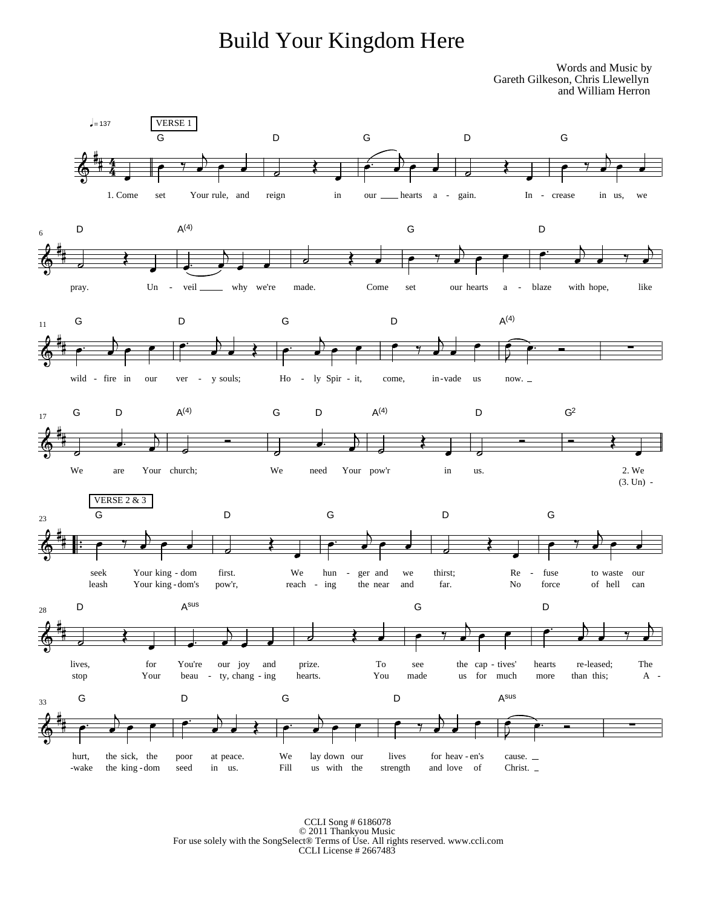## Build Your Kingdom Here

Words and Music by Gareth Gilkeson, Chris Llewellyn and William Herron



CCLI Song # 6186078 © 2011 Thankyou Music For use solely with the SongSelect® Terms of Use. All rights reserved. www.ccli.com CCLI License # 2667483